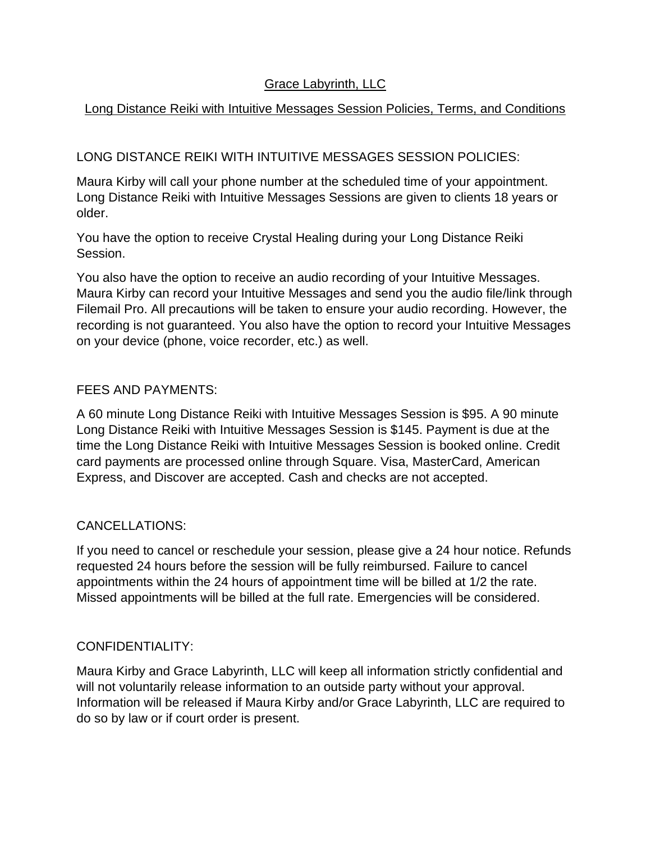# Grace Labyrinth, LLC

# Long Distance Reiki with Intuitive Messages Session Policies, Terms, and Conditions

# LONG DISTANCE REIKI WITH INTUITIVE MESSAGES SESSION POLICIES:

Maura Kirby will call your phone number at the scheduled time of your appointment. Long Distance Reiki with Intuitive Messages Sessions are given to clients 18 years or older.

You have the option to receive Crystal Healing during your Long Distance Reiki Session.

You also have the option to receive an audio recording of your Intuitive Messages. Maura Kirby can record your Intuitive Messages and send you the audio file/link through Filemail Pro. All precautions will be taken to ensure your audio recording. However, the recording is not guaranteed. You also have the option to record your Intuitive Messages on your device (phone, voice recorder, etc.) as well.

#### FEES AND PAYMENTS:

A 60 minute Long Distance Reiki with Intuitive Messages Session is \$95. A 90 minute Long Distance Reiki with Intuitive Messages Session is \$145. Payment is due at the time the Long Distance Reiki with Intuitive Messages Session is booked online. Credit card payments are processed online through Square. Visa, MasterCard, American Express, and Discover are accepted. Cash and checks are not accepted.

## CANCELLATIONS:

If you need to cancel or reschedule your session, please give a 24 hour notice. Refunds requested 24 hours before the session will be fully reimbursed. Failure to cancel appointments within the 24 hours of appointment time will be billed at 1/2 the rate. Missed appointments will be billed at the full rate. Emergencies will be considered.

## CONFIDENTIALITY:

Maura Kirby and Grace Labyrinth, LLC will keep all information strictly confidential and will not voluntarily release information to an outside party without your approval. Information will be released if Maura Kirby and/or Grace Labyrinth, LLC are required to do so by law or if court order is present.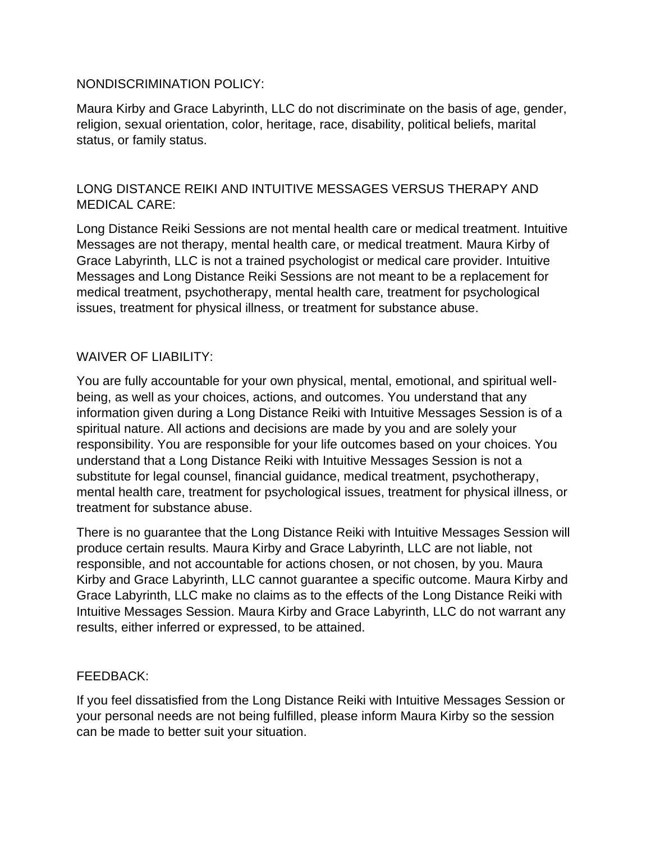#### NONDISCRIMINATION POLICY:

Maura Kirby and Grace Labyrinth, LLC do not discriminate on the basis of age, gender, religion, sexual orientation, color, heritage, race, disability, political beliefs, marital status, or family status.

# LONG DISTANCE REIKI AND INTUITIVE MESSAGES VERSUS THERAPY AND MEDICAL CARE:

Long Distance Reiki Sessions are not mental health care or medical treatment. Intuitive Messages are not therapy, mental health care, or medical treatment. Maura Kirby of Grace Labyrinth, LLC is not a trained psychologist or medical care provider. Intuitive Messages and Long Distance Reiki Sessions are not meant to be a replacement for medical treatment, psychotherapy, mental health care, treatment for psychological issues, treatment for physical illness, or treatment for substance abuse.

## WAIVER OF LIABILITY:

You are fully accountable for your own physical, mental, emotional, and spiritual wellbeing, as well as your choices, actions, and outcomes. You understand that any information given during a Long Distance Reiki with Intuitive Messages Session is of a spiritual nature. All actions and decisions are made by you and are solely your responsibility. You are responsible for your life outcomes based on your choices. You understand that a Long Distance Reiki with Intuitive Messages Session is not a substitute for legal counsel, financial guidance, medical treatment, psychotherapy, mental health care, treatment for psychological issues, treatment for physical illness, or treatment for substance abuse.

There is no guarantee that the Long Distance Reiki with Intuitive Messages Session will produce certain results. Maura Kirby and Grace Labyrinth, LLC are not liable, not responsible, and not accountable for actions chosen, or not chosen, by you. Maura Kirby and Grace Labyrinth, LLC cannot guarantee a specific outcome. Maura Kirby and Grace Labyrinth, LLC make no claims as to the effects of the Long Distance Reiki with Intuitive Messages Session. Maura Kirby and Grace Labyrinth, LLC do not warrant any results, either inferred or expressed, to be attained.

#### FEEDBACK:

If you feel dissatisfied from the Long Distance Reiki with Intuitive Messages Session or your personal needs are not being fulfilled, please inform Maura Kirby so the session can be made to better suit your situation.